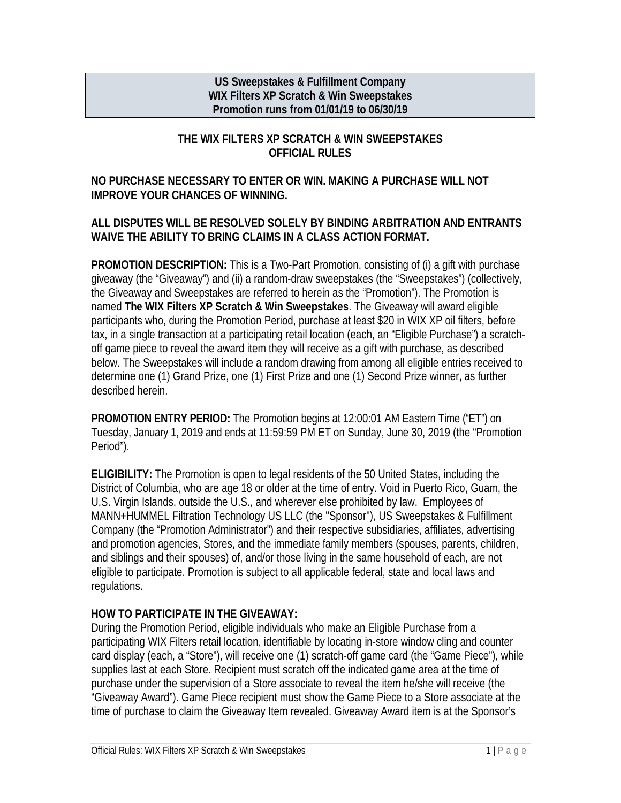#### **US Sweepstakes & Fulfillment Company WIX Filters XP Scratch & Win Sweepstakes Promotion runs from 01/01/19 to 06/30/19**

## **THE WIX FILTERS XP SCRATCH & WIN SWEEPSTAKES OFFICIAL RULES**

#### **NO PURCHASE NECESSARY TO ENTER OR WIN. MAKING A PURCHASE WILL NOT IMPROVE YOUR CHANCES OF WINNING.**

#### **ALL DISPUTES WILL BE RESOLVED SOLELY BY BINDING ARBITRATION AND ENTRANTS WAIVE THE ABILITY TO BRING CLAIMS IN A CLASS ACTION FORMAT.**

**PROMOTION DESCRIPTION:** This is a Two-Part Promotion, consisting of (i) a gift with purchase giveaway (the "Giveaway") and (ii) a random-draw sweepstakes (the "Sweepstakes") (collectively, the Giveaway and Sweepstakes are referred to herein as the "Promotion"). The Promotion is named **The WIX Filters XP Scratch & Win Sweepstakes**. The Giveaway will award eligible participants who, during the Promotion Period, purchase at least \$20 in WIX XP oil filters, before tax, in a single transaction at a participating retail location (each, an "Eligible Purchase") a scratchoff game piece to reveal the award item they will receive as a gift with purchase, as described below. The Sweepstakes will include a random drawing from among all eligible entries received to determine one (1) Grand Prize, one (1) First Prize and one (1) Second Prize winner, as further described herein.

**PROMOTION ENTRY PERIOD:** The Promotion begins at 12:00:01 AM Eastern Time ("ET") on Tuesday, January 1, 2019 and ends at 11:59:59 PM ET on Sunday, June 30, 2019 (the "Promotion Period").

**ELIGIBILITY:** The Promotion is open to legal residents of the 50 United States, including the District of Columbia, who are age 18 or older at the time of entry. Void in Puerto Rico, Guam, the U.S. Virgin Islands, outside the U.S., and wherever else prohibited by law. Employees of MANN+HUMMEL Filtration Technology US LLC (the "Sponsor"), US Sweepstakes & Fulfillment Company (the "Promotion Administrator") and their respective subsidiaries, affiliates, advertising and promotion agencies, Stores, and the immediate family members (spouses, parents, children, and siblings and their spouses) of, and/or those living in the same household of each, are not eligible to participate. Promotion is subject to all applicable federal, state and local laws and regulations.

## **HOW TO PARTICIPATE IN THE GIVEAWAY:**

During the Promotion Period, eligible individuals who make an Eligible Purchase from a participating WIX Filters retail location, identifiable by locating in-store window cling and counter card display (each, a "Store"), will receive one (1) scratch-off game card (the "Game Piece"), while supplies last at each Store. Recipient must scratch off the indicated game area at the time of purchase under the supervision of a Store associate to reveal the item he/she will receive (the "Giveaway Award"). Game Piece recipient must show the Game Piece to a Store associate at the time of purchase to claim the Giveaway Item revealed. Giveaway Award item is at the Sponsor's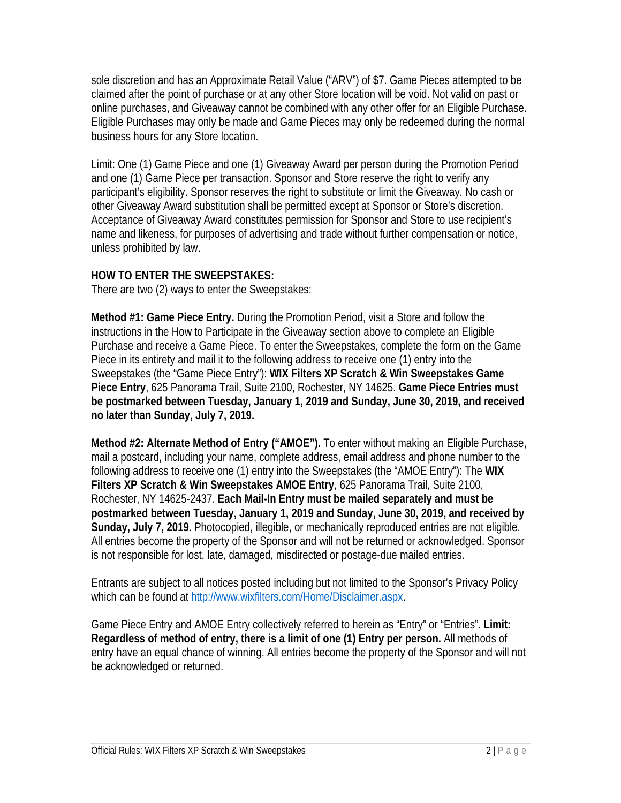sole discretion and has an Approximate Retail Value ("ARV") of \$7. Game Pieces attempted to be claimed after the point of purchase or at any other Store location will be void. Not valid on past or online purchases, and Giveaway cannot be combined with any other offer for an Eligible Purchase. Eligible Purchases may only be made and Game Pieces may only be redeemed during the normal business hours for any Store location.

Limit: One (1) Game Piece and one (1) Giveaway Award per person during the Promotion Period and one (1) Game Piece per transaction. Sponsor and Store reserve the right to verify any participant's eligibility. Sponsor reserves the right to substitute or limit the Giveaway. No cash or other Giveaway Award substitution shall be permitted except at Sponsor or Store's discretion. Acceptance of Giveaway Award constitutes permission for Sponsor and Store to use recipient's name and likeness, for purposes of advertising and trade without further compensation or notice, unless prohibited by law.

#### **HOW TO ENTER THE SWEEPSTAKES:**

There are two (2) ways to enter the Sweepstakes:

**Method #1: Game Piece Entry.** During the Promotion Period, visit a Store and follow the instructions in the How to Participate in the Giveaway section above to complete an Eligible Purchase and receive a Game Piece. To enter the Sweepstakes, complete the form on the Game Piece in its entirety and mail it to the following address to receive one (1) entry into the Sweepstakes (the "Game Piece Entry"): **WIX Filters XP Scratch & Win Sweepstakes Game Piece Entry**, 625 Panorama Trail, Suite 2100, Rochester, NY 14625. **Game Piece Entries must be postmarked between Tuesday, January 1, 2019 and Sunday, June 30, 2019, and received no later than Sunday, July 7, 2019.**

**Method #2: Alternate Method of Entry ("AMOE").** To enter without making an Eligible Purchase, mail a postcard, including your name, complete address, email address and phone number to the following address to receive one (1) entry into the Sweepstakes (the "AMOE Entry"): The **WIX Filters XP Scratch & Win Sweepstakes AMOE Entry**, 625 Panorama Trail, Suite 2100, Rochester, NY 14625-2437. **Each Mail-In Entry must be mailed separately and must be postmarked between Tuesday, January 1, 2019 and Sunday, June 30, 2019, and received by Sunday, July 7, 2019**. Photocopied, illegible, or mechanically reproduced entries are not eligible. All entries become the property of the Sponsor and will not be returned or acknowledged. Sponsor is not responsible for lost, late, damaged, misdirected or postage-due mailed entries.

Entrants are subject to all notices posted including but not limited to the Sponsor's Privacy Policy which can be found at [http://www.wixfilters.com/Home/Disclaimer.aspx.](http://www.wixfilters.com/Home/Disclaimer.aspx)

Game Piece Entry and AMOE Entry collectively referred to herein as "Entry" or "Entries". **Limit: Regardless of method of entry, there is a limit of one (1) Entry per person.** All methods of entry have an equal chance of winning. All entries become the property of the Sponsor and will not be acknowledged or returned.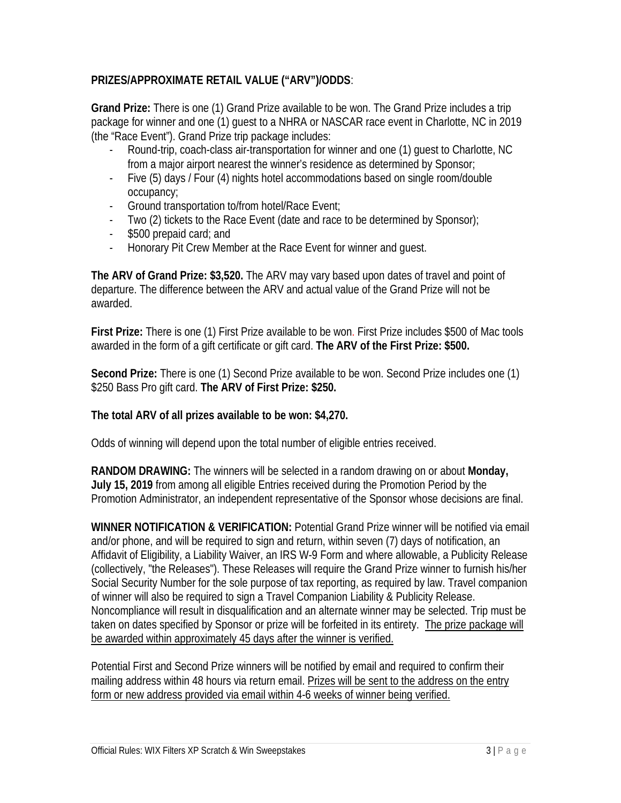# **PRIZES/APPROXIMATE RETAIL VALUE ("ARV")/ODDS**:

**Grand Prize:** There is one (1) Grand Prize available to be won. The Grand Prize includes a trip package for winner and one (1) guest to a NHRA or NASCAR race event in Charlotte, NC in 2019 (the "Race Event"). Grand Prize trip package includes:

- Round-trip, coach-class air-transportation for winner and one (1) quest to Charlotte, NC from a major airport nearest the winner's residence as determined by Sponsor;
- Five (5) days / Four (4) nights hotel accommodations based on single room/double occupancy;
- Ground transportation to/from hotel/Race Event;
- Two (2) tickets to the Race Event (date and race to be determined by Sponsor);
- \$500 prepaid card; and
- Honorary Pit Crew Member at the Race Event for winner and guest.

**The ARV of Grand Prize: \$3,520.** The ARV may vary based upon dates of travel and point of departure. The difference between the ARV and actual value of the Grand Prize will not be awarded.

**First Prize:** There is one (1) First Prize available to be won. First Prize includes \$500 of Mac tools awarded in the form of a gift certificate or gift card. **The ARV of the First Prize: \$500.** 

**Second Prize:** There is one (1) Second Prize available to be won. Second Prize includes one (1) \$250 Bass Pro gift card. **The ARV of First Prize: \$250.** 

## **The total ARV of all prizes available to be won: \$4,270.**

Odds of winning will depend upon the total number of eligible entries received.

**RANDOM DRAWING:** The winners will be selected in a random drawing on or about **Monday, July 15, 2019** from among all eligible Entries received during the Promotion Period by the Promotion Administrator, an independent representative of the Sponsor whose decisions are final.

**WINNER NOTIFICATION & VERIFICATION:** Potential Grand Prize winner will be notified via email and/or phone, and will be required to sign and return, within seven (7) days of notification, an Affidavit of Eligibility, a Liability Waiver, an IRS W-9 Form and where allowable, a Publicity Release (collectively, "the Releases"). These Releases will require the Grand Prize winner to furnish his/her Social Security Number for the sole purpose of tax reporting, as required by law. Travel companion of winner will also be required to sign a Travel Companion Liability & Publicity Release. Noncompliance will result in disqualification and an alternate winner may be selected. Trip must be taken on dates specified by Sponsor or prize will be forfeited in its entirety.The prize package will be awarded within approximately 45 days after the winner is verified.

Potential First and Second Prize winners will be notified by email and required to confirm their mailing address within 48 hours via return email. Prizes will be sent to the address on the entry form or new address provided via email within 4-6 weeks of winner being verified.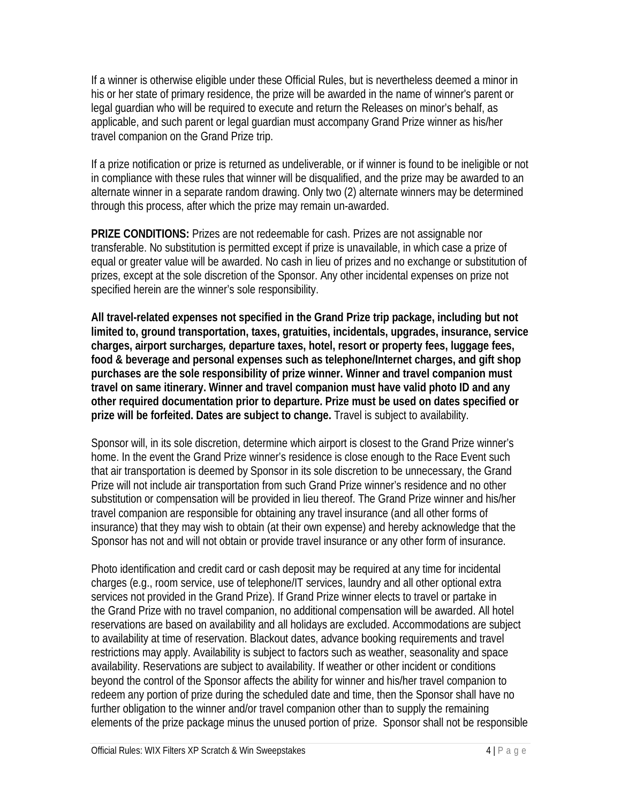If a winner is otherwise eligible under these Official Rules, but is nevertheless deemed a minor in his or her state of primary residence, the prize will be awarded in the name of winner's parent or legal guardian who will be required to execute and return the Releases on minor's behalf, as applicable, and such parent or legal guardian must accompany Grand Prize winner as his/her travel companion on the Grand Prize trip.

If a prize notification or prize is returned as undeliverable, or if winner is found to be ineligible or not in compliance with these rules that winner will be disqualified, and the prize may be awarded to an alternate winner in a separate random drawing. Only two (2) alternate winners may be determined through this process, after which the prize may remain un-awarded.

**PRIZE CONDITIONS:** Prizes are not redeemable for cash. Prizes are not assignable nor transferable. No substitution is permitted except if prize is unavailable, in which case a prize of equal or greater value will be awarded. No cash in lieu of prizes and no exchange or substitution of prizes, except at the sole discretion of the Sponsor. Any other incidental expenses on prize not specified herein are the winner's sole responsibility.

**All travel-related expenses not specified in the Grand Prize trip package, including but not limited to, ground transportation, taxes, gratuities, incidentals, upgrades, insurance, service charges, airport surcharges***,* **departure taxes, hotel, resort or property fees, luggage fees, food & beverage and personal expenses such as telephone/Internet charges, and gift shop purchases are the sole responsibility of prize winner. Winner and travel companion must travel on same itinerary. Winner and travel companion must have valid photo ID and any other required documentation prior to departure. Prize must be used on dates specified or prize will be forfeited. Dates are subject to change.** Travel is subject to availability.

Sponsor will, in its sole discretion, determine which airport is closest to the Grand Prize winner's home. In the event the Grand Prize winner's residence is close enough to the Race Event such that air transportation is deemed by Sponsor in its sole discretion to be unnecessary, the Grand Prize will not include air transportation from such Grand Prize winner's residence and no other substitution or compensation will be provided in lieu thereof. The Grand Prize winner and his/her travel companion are responsible for obtaining any travel insurance (and all other forms of insurance) that they may wish to obtain (at their own expense) and hereby acknowledge that the Sponsor has not and will not obtain or provide travel insurance or any other form of insurance.

Photo identification and credit card or cash deposit may be required at any time for incidental charges (e.g., room service, use of telephone/IT services, laundry and all other optional extra services not provided in the Grand Prize). If Grand Prize winner elects to travel or partake in the Grand Prize with no travel companion, no additional compensation will be awarded. All hotel reservations are based on availability and all holidays are excluded. Accommodations are subject to availability at time of reservation. Blackout dates, advance booking requirements and travel restrictions may apply. Availability is subject to factors such as weather, seasonality and space availability. Reservations are subject to availability. If weather or other incident or conditions beyond the control of the Sponsor affects the ability for winner and his/her travel companion to redeem any portion of prize during the scheduled date and time, then the Sponsor shall have no further obligation to the winner and/or travel companion other than to supply the remaining elements of the prize package minus the unused portion of prize. Sponsor shall not be responsible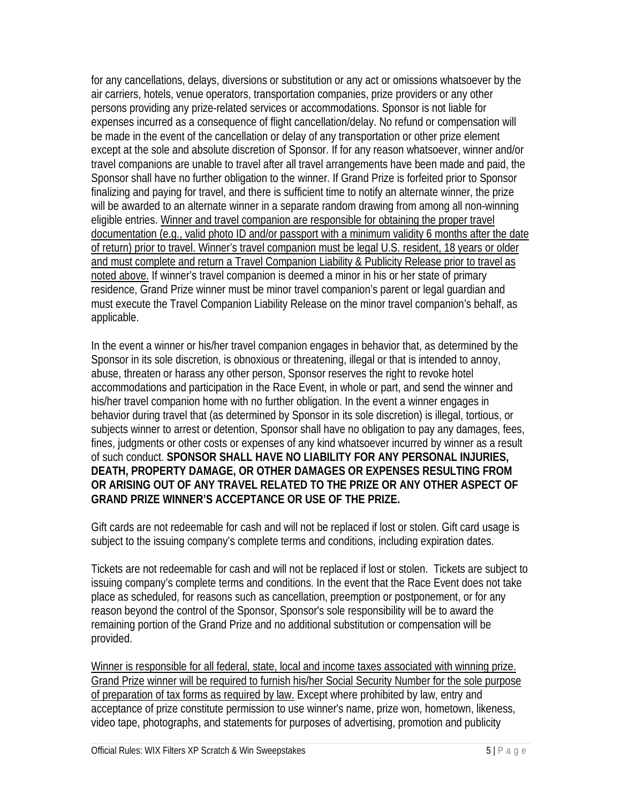for any cancellations, delays, diversions or substitution or any act or omissions whatsoever by the air carriers, hotels, venue operators, transportation companies, prize providers or any other persons providing any prize-related services or accommodations. Sponsor is not liable for expenses incurred as a consequence of flight cancellation/delay. No refund or compensation will be made in the event of the cancellation or delay of any transportation or other prize element except at the sole and absolute discretion of Sponsor. If for any reason whatsoever, winner and/or travel companions are unable to travel after all travel arrangements have been made and paid, the Sponsor shall have no further obligation to the winner. If Grand Prize is forfeited prior to Sponsor finalizing and paying for travel, and there is sufficient time to notify an alternate winner, the prize will be awarded to an alternate winner in a separate random drawing from among all non-winning eligible entries. Winner and travel companion are responsible for obtaining the proper travel documentation (e.g., valid photo ID and/or passport with a minimum validity 6 months after the date of return) prior to travel. Winner's travel companion must be legal U.S. resident, 18 years or older and must complete and return a Travel Companion Liability & Publicity Release prior to travel as noted above. If winner's travel companion is deemed a minor in his or her state of primary residence, Grand Prize winner must be minor travel companion's parent or legal guardian and must execute the Travel Companion Liability Release on the minor travel companion's behalf, as applicable.

In the event a winner or his/her travel companion engages in behavior that, as determined by the Sponsor in its sole discretion, is obnoxious or threatening, illegal or that is intended to annoy, abuse, threaten or harass any other person, Sponsor reserves the right to revoke hotel accommodations and participation in the Race Event, in whole or part, and send the winner and his/her travel companion home with no further obligation. In the event a winner engages in behavior during travel that (as determined by Sponsor in its sole discretion) is illegal, tortious, or subjects winner to arrest or detention, Sponsor shall have no obligation to pay any damages, fees, fines, judgments or other costs or expenses of any kind whatsoever incurred by winner as a result of such conduct. **SPONSOR SHALL HAVE NO LIABILITY FOR ANY PERSONAL INJURIES, DEATH, PROPERTY DAMAGE, OR OTHER DAMAGES OR EXPENSES RESULTING FROM OR ARISING OUT OF ANY TRAVEL RELATED TO THE PRIZE OR ANY OTHER ASPECT OF GRAND PRIZE WINNER'S ACCEPTANCE OR USE OF THE PRIZE.** 

Gift cards are not redeemable for cash and will not be replaced if lost or stolen. Gift card usage is subject to the issuing company's complete terms and conditions, including expiration dates.

Tickets are not redeemable for cash and will not be replaced if lost or stolen. Tickets are subject to issuing company's complete terms and conditions. In the event that the Race Event does not take place as scheduled, for reasons such as cancellation, preemption or postponement, or for any reason beyond the control of the Sponsor, Sponsor's sole responsibility will be to award the remaining portion of the Grand Prize and no additional substitution or compensation will be provided.

Winner is responsible for all federal, state, local and income taxes associated with winning prize. Grand Prize winner will be required to furnish his/her Social Security Number for the sole purpose of preparation of tax forms as required by law. Except where prohibited by law, entry and acceptance of prize constitute permission to use winner's name, prize won, hometown, likeness, video tape, photographs, and statements for purposes of advertising, promotion and publicity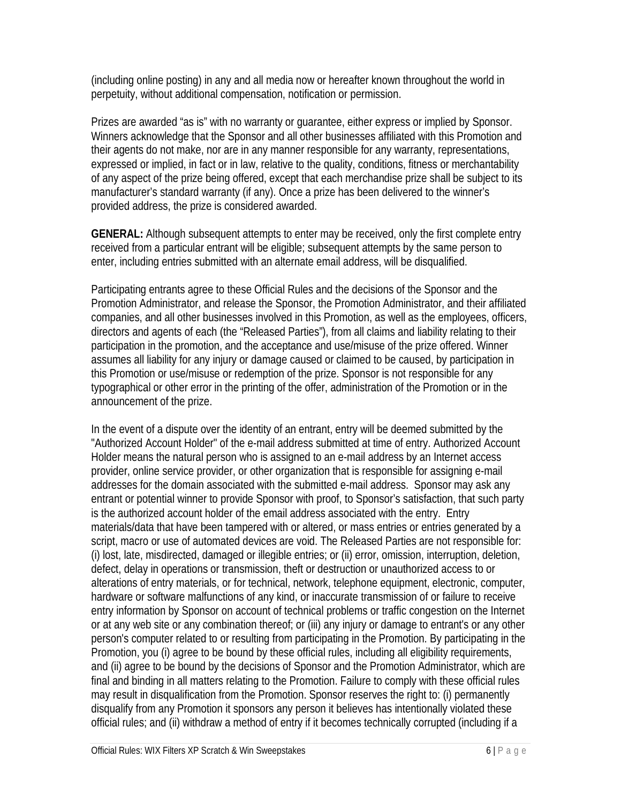(including online posting) in any and all media now or hereafter known throughout the world in perpetuity, without additional compensation, notification or permission.

Prizes are awarded "as is" with no warranty or guarantee, either express or implied by Sponsor. Winners acknowledge that the Sponsor and all other businesses affiliated with this Promotion and their agents do not make, nor are in any manner responsible for any warranty, representations, expressed or implied, in fact or in law, relative to the quality, conditions, fitness or merchantability of any aspect of the prize being offered, except that each merchandise prize shall be subject to its manufacturer's standard warranty (if any). Once a prize has been delivered to the winner's provided address, the prize is considered awarded.

**GENERAL:** Although subsequent attempts to enter may be received, only the first complete entry received from a particular entrant will be eligible; subsequent attempts by the same person to enter, including entries submitted with an alternate email address, will be disqualified.

Participating entrants agree to these Official Rules and the decisions of the Sponsor and the Promotion Administrator, and release the Sponsor, the Promotion Administrator, and their affiliated companies, and all other businesses involved in this Promotion, as well as the employees, officers, directors and agents of each (the "Released Parties"), from all claims and liability relating to their participation in the promotion, and the acceptance and use/misuse of the prize offered. Winner assumes all liability for any injury or damage caused or claimed to be caused, by participation in this Promotion or use/misuse or redemption of the prize. Sponsor is not responsible for any typographical or other error in the printing of the offer, administration of the Promotion or in the announcement of the prize.

In the event of a dispute over the identity of an entrant, entry will be deemed submitted by the "Authorized Account Holder" of the e-mail address submitted at time of entry. Authorized Account Holder means the natural person who is assigned to an e-mail address by an Internet access provider, online service provider, or other organization that is responsible for assigning e-mail addresses for the domain associated with the submitted e-mail address. Sponsor may ask any entrant or potential winner to provide Sponsor with proof, to Sponsor's satisfaction, that such party is the authorized account holder of the email address associated with the entry. Entry materials/data that have been tampered with or altered, or mass entries or entries generated by a script, macro or use of automated devices are void. The Released Parties are not responsible for: (i) lost, late, misdirected, damaged or illegible entries; or (ii) error, omission, interruption, deletion, defect, delay in operations or transmission, theft or destruction or unauthorized access to or alterations of entry materials, or for technical, network, telephone equipment, electronic, computer, hardware or software malfunctions of any kind, or inaccurate transmission of or failure to receive entry information by Sponsor on account of technical problems or traffic congestion on the Internet or at any web site or any combination thereof; or (iii) any injury or damage to entrant's or any other person's computer related to or resulting from participating in the Promotion. By participating in the Promotion, you (i) agree to be bound by these official rules, including all eligibility requirements, and (ii) agree to be bound by the decisions of Sponsor and the Promotion Administrator, which are final and binding in all matters relating to the Promotion. Failure to comply with these official rules may result in disqualification from the Promotion. Sponsor reserves the right to: (i) permanently disqualify from any Promotion it sponsors any person it believes has intentionally violated these official rules; and (ii) withdraw a method of entry if it becomes technically corrupted (including if a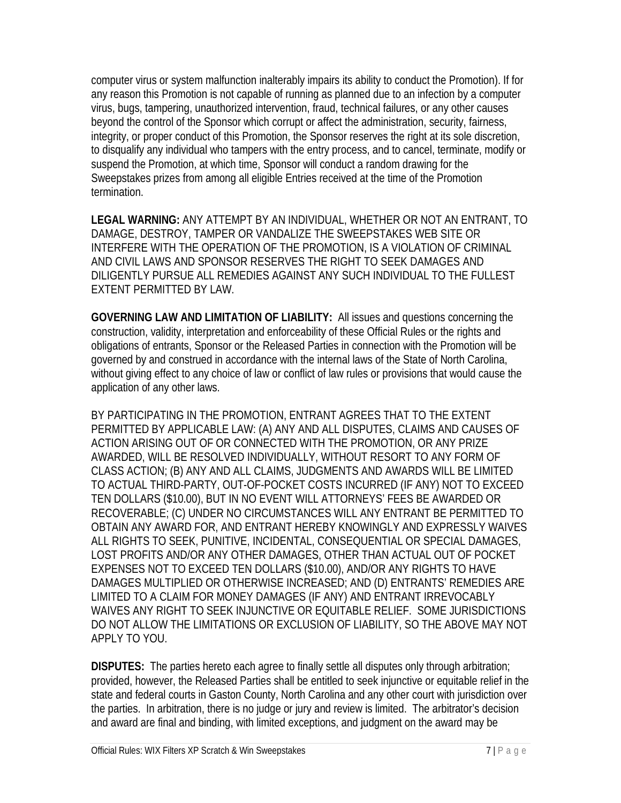computer virus or system malfunction inalterably impairs its ability to conduct the Promotion). If for any reason this Promotion is not capable of running as planned due to an infection by a computer virus, bugs, tampering, unauthorized intervention, fraud, technical failures, or any other causes beyond the control of the Sponsor which corrupt or affect the administration, security, fairness, integrity, or proper conduct of this Promotion, the Sponsor reserves the right at its sole discretion, to disqualify any individual who tampers with the entry process, and to cancel, terminate, modify or suspend the Promotion, at which time, Sponsor will conduct a random drawing for the Sweepstakes prizes from among all eligible Entries received at the time of the Promotion termination.

**LEGAL WARNING:** ANY ATTEMPT BY AN INDIVIDUAL, WHETHER OR NOT AN ENTRANT, TO DAMAGE, DESTROY, TAMPER OR VANDALIZE THE SWEEPSTAKES WEB SITE OR INTERFERE WITH THE OPERATION OF THE PROMOTION, IS A VIOLATION OF CRIMINAL AND CIVIL LAWS AND SPONSOR RESERVES THE RIGHT TO SEEK DAMAGES AND DILIGENTLY PURSUE ALL REMEDIES AGAINST ANY SUCH INDIVIDUAL TO THE FULLEST EXTENT PERMITTED BY LAW.

**GOVERNING LAW AND LIMITATION OF LIABILITY:** All issues and questions concerning the construction, validity, interpretation and enforceability of these Official Rules or the rights and obligations of entrants, Sponsor or the Released Parties in connection with the Promotion will be governed by and construed in accordance with the internal laws of the State of North Carolina, without giving effect to any choice of law or conflict of law rules or provisions that would cause the application of any other laws.

BY PARTICIPATING IN THE PROMOTION, ENTRANT AGREES THAT TO THE EXTENT PERMITTED BY APPLICABLE LAW: (A) ANY AND ALL DISPUTES, CLAIMS AND CAUSES OF ACTION ARISING OUT OF OR CONNECTED WITH THE PROMOTION, OR ANY PRIZE AWARDED, WILL BE RESOLVED INDIVIDUALLY, WITHOUT RESORT TO ANY FORM OF CLASS ACTION; (B) ANY AND ALL CLAIMS, JUDGMENTS AND AWARDS WILL BE LIMITED TO ACTUAL THIRD-PARTY, OUT-OF-POCKET COSTS INCURRED (IF ANY) NOT TO EXCEED TEN DOLLARS (\$10.00), BUT IN NO EVENT WILL ATTORNEYS' FEES BE AWARDED OR RECOVERABLE; (C) UNDER NO CIRCUMSTANCES WILL ANY ENTRANT BE PERMITTED TO OBTAIN ANY AWARD FOR, AND ENTRANT HEREBY KNOWINGLY AND EXPRESSLY WAIVES ALL RIGHTS TO SEEK, PUNITIVE, INCIDENTAL, CONSEQUENTIAL OR SPECIAL DAMAGES, LOST PROFITS AND/OR ANY OTHER DAMAGES, OTHER THAN ACTUAL OUT OF POCKET EXPENSES NOT TO EXCEED TEN DOLLARS (\$10.00), AND/OR ANY RIGHTS TO HAVE DAMAGES MULTIPLIED OR OTHERWISE INCREASED; AND (D) ENTRANTS' REMEDIES ARE LIMITED TO A CLAIM FOR MONEY DAMAGES (IF ANY) AND ENTRANT IRREVOCABLY WAIVES ANY RIGHT TO SEEK INJUNCTIVE OR EQUITABLE RELIEF. SOME JURISDICTIONS DO NOT ALLOW THE LIMITATIONS OR EXCLUSION OF LIABILITY, SO THE ABOVE MAY NOT APPLY TO YOU.

**DISPUTES:** The parties hereto each agree to finally settle all disputes only through arbitration; provided, however, the Released Parties shall be entitled to seek injunctive or equitable relief in the state and federal courts in Gaston County, North Carolina and any other court with jurisdiction over the parties. In arbitration, there is no judge or jury and review is limited. The arbitrator's decision and award are final and binding, with limited exceptions, and judgment on the award may be